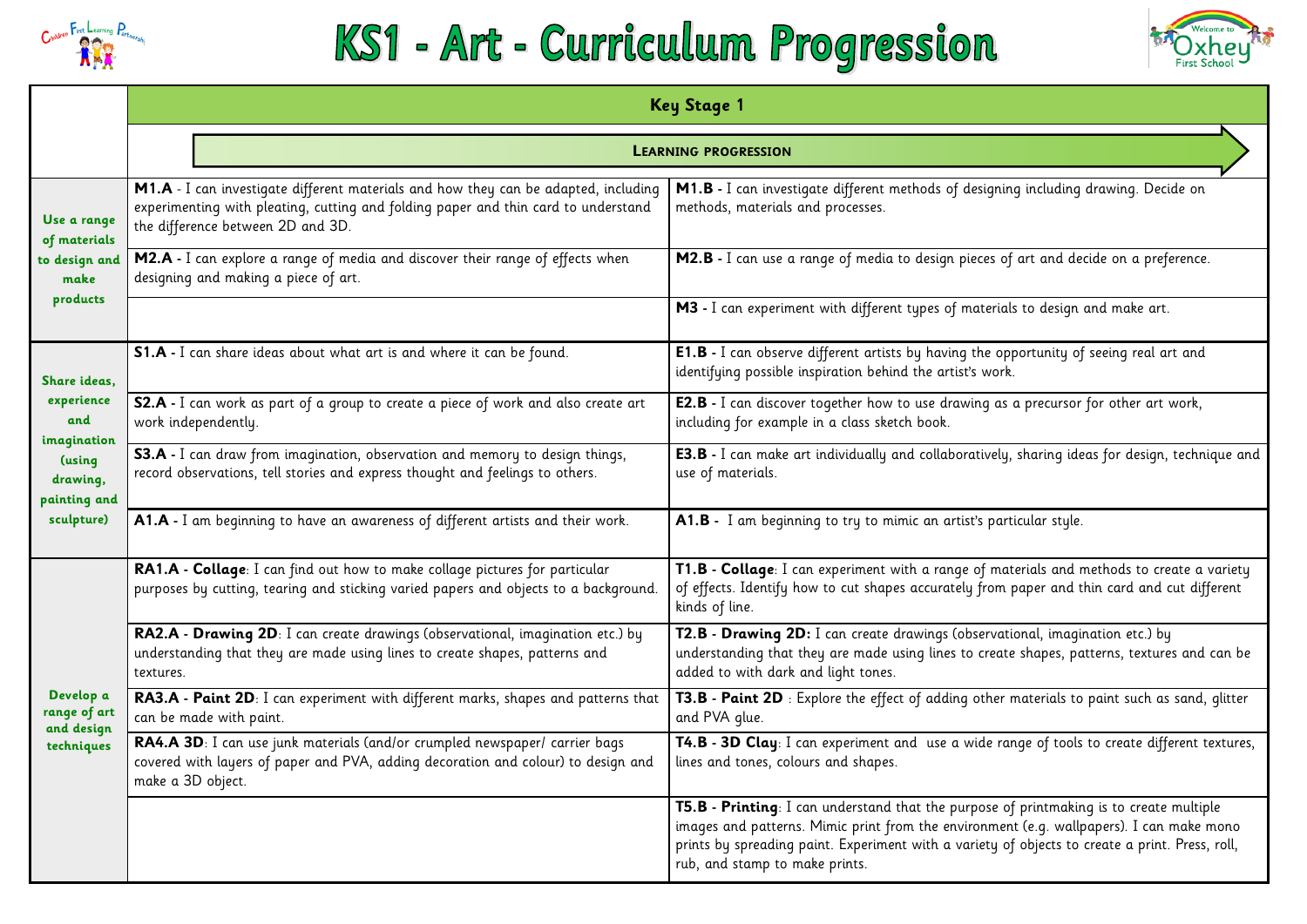

# KS1 - Art - Curriculum Progression

**M1.B -** I can investigate different methods of designing including drawing. Decide on

es of art and decide on a preference.

erials to design and make art.

e opportunity of seeing real art and **P** 

as a precursor for other art work,

**T2.B - Drawing 2D:** I can create drawings (observational, imagination etc.) by reate shapes, patterns, textures and can be

**E3.B -** I can make art individually and collaboratively, sharing ideas for design, technique and

materials and methods to create a variety om paper and thin card and cut different

|                                                                                                      | <b>Key Stage 1</b>                                                                                                                                                                                             |                                                                                                                                                                                                                                                 |  |  |
|------------------------------------------------------------------------------------------------------|----------------------------------------------------------------------------------------------------------------------------------------------------------------------------------------------------------------|-------------------------------------------------------------------------------------------------------------------------------------------------------------------------------------------------------------------------------------------------|--|--|
|                                                                                                      |                                                                                                                                                                                                                | <b>LEARNING PROGRESSION</b>                                                                                                                                                                                                                     |  |  |
| Use a range<br>of materials<br>to design and<br>make<br>products                                     | M1.A - I can investigate different materials and how they can be adapted, including<br>experimenting with pleating, cutting and folding paper and thin card to understand<br>the difference between 2D and 3D. | M1.B - I can investigate different methods of designing including<br>methods, materials and processes.                                                                                                                                          |  |  |
|                                                                                                      | M2.A - I can explore a range of media and discover their range of effects when<br>designing and making a piece of art.                                                                                         | M2.B - I can use a range of media to design pieces of art and dec                                                                                                                                                                               |  |  |
|                                                                                                      |                                                                                                                                                                                                                | M3 - I can experiment with different types of materials to design of                                                                                                                                                                            |  |  |
| Share ideas,<br>experience<br>and<br>imagination<br>(using<br>drawing,<br>painting and<br>sculpture) | S1.A - I can share ideas about what art is and where it can be found.                                                                                                                                          | <b>E1.B</b> - I can observe different artists by having the opportunity of<br>identifying possible inspiration behind the artist's work.                                                                                                        |  |  |
|                                                                                                      | S2.A - I can work as part of a group to create a piece of work and also create art<br>work independently.                                                                                                      | <b>E2.B</b> - I can discover together how to use drawing as a precursor<br>including for example in a class sketch book.                                                                                                                        |  |  |
|                                                                                                      | S3.A - I can draw from imagination, observation and memory to design things,<br>record observations, tell stories and express thought and feelings to others.                                                  | <b>E3.B</b> - I can make art individually and collaboratively, sharing ided<br>use of materials.                                                                                                                                                |  |  |
|                                                                                                      | A1.A - I am beginning to have an awareness of different artists and their work.                                                                                                                                | A1.B - I am beginning to try to mimic an artist's particular style.                                                                                                                                                                             |  |  |
| Develop a<br>range of art<br>and design<br>techniques                                                | RA1.A - Collage: I can find out how to make collage pictures for particular<br>purposes by cutting, tearing and sticking varied papers and objects to a background.                                            | T1.B - Collage: I can experiment with a range of materials and m<br>of effects. Identify how to cut shapes accurately from paper and th<br>kinds of line.                                                                                       |  |  |
|                                                                                                      | RA2.A - Drawing 2D: I can create drawings (observational, imagination etc.) by<br>understanding that they are made using lines to create shapes, patterns and<br>textures.                                     | T2.B - Drawing 2D: I can create drawings (observational, imagin<br>understanding that they are made using lines to create shapes, pat<br>added to with dark and light tones.                                                                    |  |  |
|                                                                                                      | RA3.A - Paint 2D: I can experiment with different marks, shapes and patterns that<br>can be made with paint.                                                                                                   | <b>T3.B - Paint 2D</b> : Explore the effect of adding other materials to<br>and PVA glue.                                                                                                                                                       |  |  |
|                                                                                                      | <b>RA4.A 3D</b> : I can use junk materials (and/or crumpled newspaper/ carrier bags<br>covered with layers of paper and PVA, adding decoration and colour) to design and<br>make a 3D object.                  | T4.B - 3D Clay: I can experiment and use a wide range of tools<br>lines and tones, colours and shapes.                                                                                                                                          |  |  |
|                                                                                                      |                                                                                                                                                                                                                | T5.B - Printing: I can understand that the purpose of printmakin<br>images and patterns. Mimic print from the environment (e.g. wallp<br>prints by spreading paint. Experiment with a variety of objects to a<br>rub, and stamp to make prints. |  |  |





**T3.B - Paint 2D** : Explore the effect of adding other materials to paint such as sand, glitter

 $\overline{\text{I}}$  **e** range of tools to create different textures,

 $\overline{\text{se of printmaking}}$  is to create multiple iment (e.g. wallpapers). I can make mono ty of objects to create a print. Press, roll,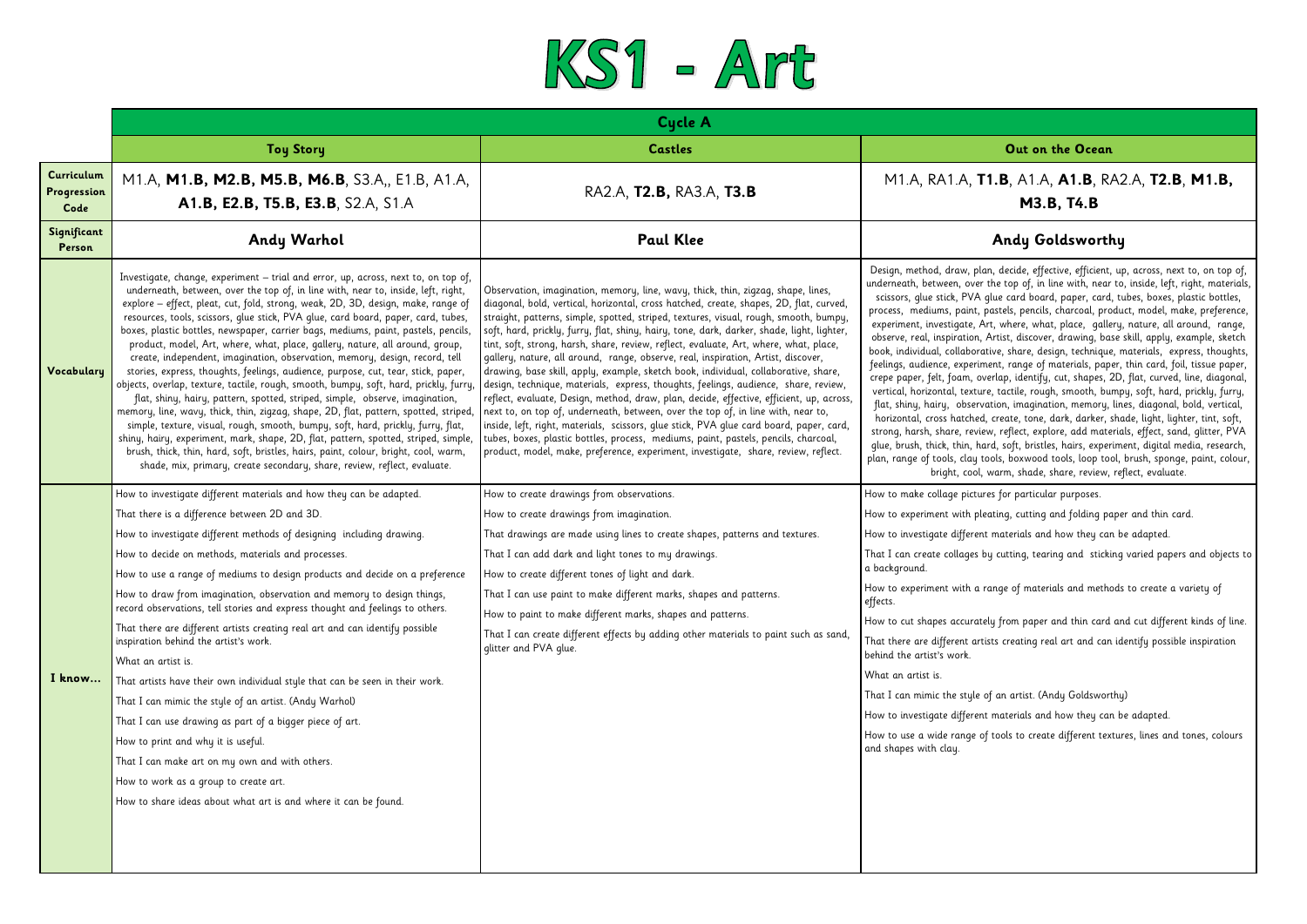# M1.A, RA1.A, **T1.B**, A1.A, **A1.B**, RA2.A, **T2.B**, **M1.B, M3.B, T4.B**

n, decide, effective, efficient, up, across, next to, on top of, the top of, in line with, near to, inside, left, right, materials, glue card board, paper, card, tubes, boxes, plastic bottles, pastels, pencils, charcoal, product, model, make, preference, rt, where, what, place, gallery, nature, all around, range, Artist, discover, drawing, base skill, apply, example, sketch tive, share, design, technique, materials, express, thoughts, ient, range of materials, paper, thin card, foil, tissue paper, erlap, identify, cut, shapes, 2D, flat, curved, line, diagonal, ve, tactile, rough, smooth, bumpy, soft, hard, prickly, furry, ation, imagination, memory, lines, diagonal, bold, vertical, create, tone, dark, darker, shade, light, lighter, tint, soft, w, reflect, explore, add materials, effect, sand, glitter, PVA rd, soft, bristles, hairs, experiment, digital media, research, pols, boxwood tools, loop tool, brush, sponge, paint, colour, warm, shade, share, review, reflect, evaluate.

ating, cutting and folding paper and thin card.

materials and how they can be adapted.

y cutting, tearing and sticking varied papers and objects to

ange of materials and methods to create a variety of

ly from paper and thin card and cut different kinds of line. tsts creating real art and can identify possible inspiration

materials and how they can be adapted.

tools to create different textures, lines and tones, colours



|                                   |                                                                                                                                                                                                                                                                                                                                                                                                                                                                                                                                                                                                                                                                                                                                                                                                                                                                                                                                                                                                                                                                                                                                                                                                                                                                                                           | <b>Cycle A</b>                                                                                                                                                                                                                                                                                                                                                                                                                                                                                                                                                                                                                                                                                                                                                                                                                                                                                                                                                                                                                                                                                                                                                                        |                                                                                                                                                                                                                                                                                                                                                                                                                                                                                                                                                                                                                                                                                                                                                                                                                                                                                                                                                                                                                               |  |
|-----------------------------------|-----------------------------------------------------------------------------------------------------------------------------------------------------------------------------------------------------------------------------------------------------------------------------------------------------------------------------------------------------------------------------------------------------------------------------------------------------------------------------------------------------------------------------------------------------------------------------------------------------------------------------------------------------------------------------------------------------------------------------------------------------------------------------------------------------------------------------------------------------------------------------------------------------------------------------------------------------------------------------------------------------------------------------------------------------------------------------------------------------------------------------------------------------------------------------------------------------------------------------------------------------------------------------------------------------------|---------------------------------------------------------------------------------------------------------------------------------------------------------------------------------------------------------------------------------------------------------------------------------------------------------------------------------------------------------------------------------------------------------------------------------------------------------------------------------------------------------------------------------------------------------------------------------------------------------------------------------------------------------------------------------------------------------------------------------------------------------------------------------------------------------------------------------------------------------------------------------------------------------------------------------------------------------------------------------------------------------------------------------------------------------------------------------------------------------------------------------------------------------------------------------------|-------------------------------------------------------------------------------------------------------------------------------------------------------------------------------------------------------------------------------------------------------------------------------------------------------------------------------------------------------------------------------------------------------------------------------------------------------------------------------------------------------------------------------------------------------------------------------------------------------------------------------------------------------------------------------------------------------------------------------------------------------------------------------------------------------------------------------------------------------------------------------------------------------------------------------------------------------------------------------------------------------------------------------|--|
|                                   | <b>Toy Story</b>                                                                                                                                                                                                                                                                                                                                                                                                                                                                                                                                                                                                                                                                                                                                                                                                                                                                                                                                                                                                                                                                                                                                                                                                                                                                                          | <b>Castles</b>                                                                                                                                                                                                                                                                                                                                                                                                                                                                                                                                                                                                                                                                                                                                                                                                                                                                                                                                                                                                                                                                                                                                                                        | Out on the Ocean                                                                                                                                                                                                                                                                                                                                                                                                                                                                                                                                                                                                                                                                                                                                                                                                                                                                                                                                                                                                              |  |
| Curriculum<br>Progression<br>Code | M1.A, M1.B, M2.B, M5.B, M6.B, S3.A,, E1.B, A1.A,<br>A1.B, E2.B, T5.B, E3.B, S2.A, S1.A                                                                                                                                                                                                                                                                                                                                                                                                                                                                                                                                                                                                                                                                                                                                                                                                                                                                                                                                                                                                                                                                                                                                                                                                                    | RA2.A, T2.B, RA3.A, T3.B                                                                                                                                                                                                                                                                                                                                                                                                                                                                                                                                                                                                                                                                                                                                                                                                                                                                                                                                                                                                                                                                                                                                                              | M1.A, RA1.A, <b>T1.B</b> , A1.A, <b>A1.B</b> , RA2<br><b>M3.B, T4.B</b>                                                                                                                                                                                                                                                                                                                                                                                                                                                                                                                                                                                                                                                                                                                                                                                                                                                                                                                                                       |  |
| Significant<br>Person             | Andy Warhol                                                                                                                                                                                                                                                                                                                                                                                                                                                                                                                                                                                                                                                                                                                                                                                                                                                                                                                                                                                                                                                                                                                                                                                                                                                                                               | <b>Paul Klee</b>                                                                                                                                                                                                                                                                                                                                                                                                                                                                                                                                                                                                                                                                                                                                                                                                                                                                                                                                                                                                                                                                                                                                                                      | Andy Goldsworthy                                                                                                                                                                                                                                                                                                                                                                                                                                                                                                                                                                                                                                                                                                                                                                                                                                                                                                                                                                                                              |  |
| Vocabulary                        | Investigate, change, experiment - trial and error, up, across, next to, on top of,<br>underneath, between, over the top of, in line with, near to, inside, left, right,<br>explore - effect, pleat, cut, fold, strong, weak, 2D, 3D, design, make, range of<br>resources, tools, scissors, glue stick, PVA glue, card board, paper, card, tubes,<br>boxes, plastic bottles, newspaper, carrier bags, mediums, paint, pastels, pencils,<br>product, model, Art, where, what, place, gallery, nature, all around, group,<br>create, independent, imagination, observation, memory, design, record, tell<br>stories, express, thoughts, feelings, audience, purpose, cut, tear, stick, paper,<br>objects, overlap, texture, tactile, rough, smooth, bumpy, soft, hard, prickly, furry,<br>flat, shiny, hairy, pattern, spotted, striped, simple, observe, imagination,<br>memory, line, wavy, thick, thin, zigzag, shape, 2D, flat, pattern, spotted, striped,<br>simple, texture, visual, rough, smooth, bumpy, soft, hard, prickly, furry, flat,<br>shiny, hairy, experiment, mark, shape, 2D, flat, pattern, spotted, striped, simple,<br>brush, thick, thin, hard, soft, bristles, hairs, paint, colour, bright, cool, warm,<br>shade, mix, primary, create secondary, share, review, reflect, evaluate. | Observation, imagination, memory, line, wavy, thick, thin, zigzag, shape, lines,<br>diagonal, bold, vertical, horizontal, cross hatched, create, shapes, 2D, flat, curved,<br>straight, patterns, simple, spotted, striped, textures, visual, rough, smooth, bumpy,<br>soft, hard, prickly, furry, flat, shiny, hairy, tone, dark, darker, shade, light, lighter,<br>tint, soft, strong, harsh, share, review, reflect, evaluate, Art, where, what, place,<br>gallery, nature, all around, range, observe, real, inspiration, Artist, discover,<br>drawing, base skill, apply, example, sketch book, individual, collaborative, share,<br>design, technique, materials, express, thoughts, feelings, audience, share, review,<br>reflect, evaluate, Design, method, draw, plan, decide, effective, efficient, up, across,<br>next to, on top of, underneath, between, over the top of, in line with, near to,<br>inside, left, right, materials, scissors, glue stick, PVA glue card board, paper, card,<br>tubes, boxes, plastic bottles, process, mediums, paint, pastels, pencils, charcoal,<br>product, model, make, preference, experiment, investigate, share, review, reflect. | Design, method, draw, plan, decide, effective, efficient, up<br>underneath, between, over the top of, in line with, near to<br>scissors, glue stick, PVA glue card board, paper, card, tu<br>process, mediums, paint, pastels, pencils, charcoal, produ<br>experiment, investigate, Art, where, what, place, gallery,<br>observe, real, inspiration, Artist, discover, drawing, base<br>book, individual, collaborative, share, design, technique, n<br>feelings, audience, experiment, range of materials, paper,<br>crepe paper, felt, foam, overlap, identify, cut, shapes, 2D,<br>vertical, horizontal, texture, tactile, rough, smooth, bump<br>flat, shiny, hairy, observation, imagination, memory, lin<br>horizontal, cross hatched, create, tone, dark, darker, sha<br>strong, harsh, share, review, reflect, explore, add materia<br>glue, brush, thick, thin, hard, soft, bristles, hairs, experim<br>plan, range of tools, clay tools, boxwood tools, loop tool,<br>bright, cool, warm, shade, share, review, ret |  |
| I know                            | How to investigate different materials and how they can be adapted.<br>That there is a difference between 2D and 3D.<br>How to investigate different methods of designing including drawing.<br>How to decide on methods, materials and processes.<br>How to use a range of mediums to design products and decide on a preference<br>How to draw from imagination, observation and memory to design things,<br>record observations, tell stories and express thought and feelings to others.<br>That there are different artists creating real art and can identify possible<br>inspiration behind the artist's work.<br>What an artist is.<br>That artists have their own individual style that can be seen in their work.<br>That I can mimic the style of an artist. (Andy Warhol)<br>That I can use drawing as part of a bigger piece of art.<br>How to print and why it is useful.<br>That I can make art on my own and with others.<br>How to work as a group to create art.<br>How to share ideas about what art is and where it can be found.                                                                                                                                                                                                                                                     | How to create drawings from observations.<br>How to create drawings from imagination.<br>That drawings are made using lines to create shapes, patterns and textures.<br>That I can add dark and light tones to my drawings.<br>How to create different tones of light and dark.<br>That I can use paint to make different marks, shapes and patterns.<br>How to paint to make different marks, shapes and patterns.<br>That I can create different effects by adding other materials to paint such as sand,<br>glitter and PVA glue.                                                                                                                                                                                                                                                                                                                                                                                                                                                                                                                                                                                                                                                  | How to make collage pictures for particular purposes.<br>How to experiment with pleating, cutting and folding pape<br>How to investigate different materials and how they can b<br>That I can create collages by cutting, tearing and sticking<br>a background.<br>How to experiment with a range of materials and methods<br>effects.<br>How to cut shapes accurately from paper and thin card an<br>That there are different artists creating real art and can id<br>behind the artist's work.<br>What an artist is.<br>That I can mimic the style of an artist. (Andy Goldsworthy<br>How to investigate different materials and how they can b<br>How to use a wide range of tools to create different textur<br>and shapes with clay.                                                                                                                                                                                                                                                                                     |  |
|                                   |                                                                                                                                                                                                                                                                                                                                                                                                                                                                                                                                                                                                                                                                                                                                                                                                                                                                                                                                                                                                                                                                                                                                                                                                                                                                                                           |                                                                                                                                                                                                                                                                                                                                                                                                                                                                                                                                                                                                                                                                                                                                                                                                                                                                                                                                                                                                                                                                                                                                                                                       |                                                                                                                                                                                                                                                                                                                                                                                                                                                                                                                                                                                                                                                                                                                                                                                                                                                                                                                                                                                                                               |  |

## **Out on the Ocean**